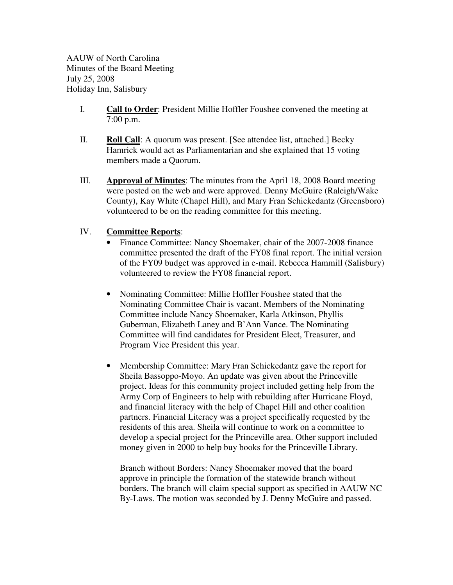AAUW of North Carolina Minutes of the Board Meeting July 25, 2008 Holiday Inn, Salisbury

- I. **Call to Order**: President Millie Hoffler Foushee convened the meeting at 7:00 p.m.
- II. **Roll Call**: A quorum was present. [See attendee list, attached.] Becky Hamrick would act as Parliamentarian and she explained that 15 voting members made a Quorum.
- III. **Approval of Minutes**: The minutes from the April 18, 2008 Board meeting were posted on the web and were approved. Denny McGuire (Raleigh/Wake County), Kay White (Chapel Hill), and Mary Fran Schickedantz (Greensboro) volunteered to be on the reading committee for this meeting.

## IV. **Committee Reports**:

- Finance Committee: Nancy Shoemaker, chair of the 2007-2008 finance committee presented the draft of the FY08 final report. The initial version of the FY09 budget was approved in e-mail. Rebecca Hammill (Salisbury) volunteered to review the FY08 financial report.
- Nominating Committee: Millie Hoffler Foushee stated that the Nominating Committee Chair is vacant. Members of the Nominating Committee include Nancy Shoemaker, Karla Atkinson, Phyllis Guberman, Elizabeth Laney and B'Ann Vance. The Nominating Committee will find candidates for President Elect, Treasurer, and Program Vice President this year.
- Membership Committee: Mary Fran Schickedantz gave the report for Sheila Bassoppo-Moyo. An update was given about the Princeville project. Ideas for this community project included getting help from the Army Corp of Engineers to help with rebuilding after Hurricane Floyd, and financial literacy with the help of Chapel Hill and other coalition partners. Financial Literacy was a project specifically requested by the residents of this area. Sheila will continue to work on a committee to develop a special project for the Princeville area. Other support included money given in 2000 to help buy books for the Princeville Library.

Branch without Borders: Nancy Shoemaker moved that the board approve in principle the formation of the statewide branch without borders. The branch will claim special support as specified in AAUW NC By-Laws. The motion was seconded by J. Denny McGuire and passed.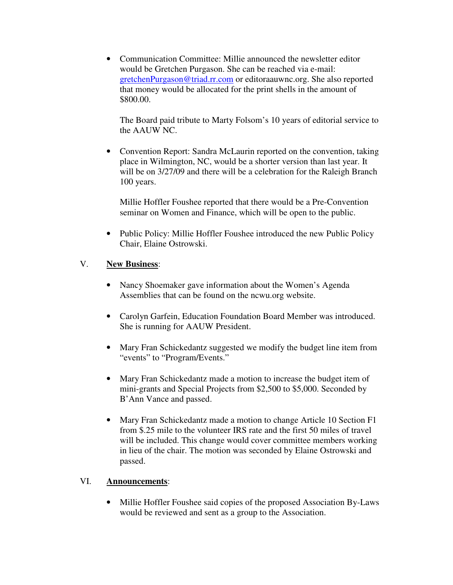• Communication Committee: Millie announced the newsletter editor would be Gretchen Purgason. She can be reached via e-mail: gretchenPurgason@triad.rr.com or editoraauwnc.org. She also reported that money would be allocated for the print shells in the amount of \$800.00.

The Board paid tribute to Marty Folsom's 10 years of editorial service to the AAUW NC.

• Convention Report: Sandra McLaurin reported on the convention, taking place in Wilmington, NC, would be a shorter version than last year. It will be on  $3/27/09$  and there will be a celebration for the Raleigh Branch 100 years.

Millie Hoffler Foushee reported that there would be a Pre-Convention seminar on Women and Finance, which will be open to the public.

• Public Policy: Millie Hoffler Foushee introduced the new Public Policy Chair, Elaine Ostrowski.

## V. **New Business**:

- Nancy Shoemaker gave information about the Women's Agenda Assemblies that can be found on the ncwu.org website.
- Carolyn Garfein, Education Foundation Board Member was introduced. She is running for AAUW President.
- Mary Fran Schickedantz suggested we modify the budget line item from "events" to "Program/Events."
- Mary Fran Schickedantz made a motion to increase the budget item of mini-grants and Special Projects from \$2,500 to \$5,000. Seconded by B'Ann Vance and passed.
- Mary Fran Schickedantz made a motion to change Article 10 Section F1 from \$.25 mile to the volunteer IRS rate and the first 50 miles of travel will be included. This change would cover committee members working in lieu of the chair. The motion was seconded by Elaine Ostrowski and passed.

## VI. **Announcements**:

• Millie Hoffler Foushee said copies of the proposed Association By-Laws would be reviewed and sent as a group to the Association.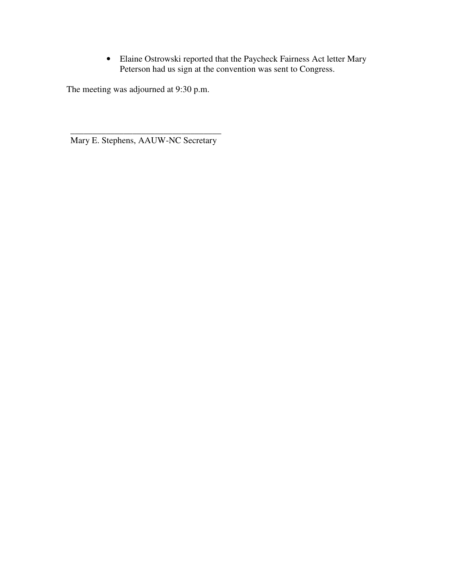• Elaine Ostrowski reported that the Paycheck Fairness Act letter Mary Peterson had us sign at the convention was sent to Congress.

The meeting was adjourned at 9:30 p.m.

\_\_\_\_\_\_\_\_\_\_\_\_\_\_\_\_\_\_\_\_\_\_\_\_\_\_\_\_\_\_\_\_\_\_ Mary E. Stephens, AAUW-NC Secretary